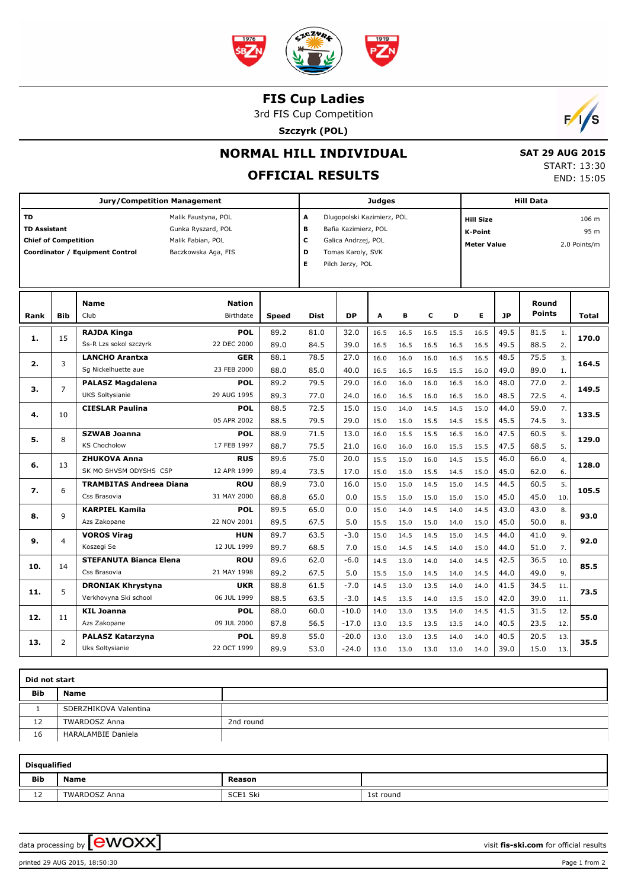

### **FIS Cup Ladies**

3rd FIS Cup Competition

**Szczyrk (POL)**



## **NORMAL HILL INDIVIDUAL**

# **OFFICIAL RESULTS**

 **SAT 29 AUG 2015** START: 13:30 END: 15:05

| <b>Jury/Competition Management</b>                                                                                                                                                          |                |                                              |                            |              |                                                                                                                                             | <b>Judges</b> |              |              |              |              |                                                          | <b>Hill Data</b> |                               |                      |       |  |  |  |  |
|---------------------------------------------------------------------------------------------------------------------------------------------------------------------------------------------|----------------|----------------------------------------------|----------------------------|--------------|---------------------------------------------------------------------------------------------------------------------------------------------|---------------|--------------|--------------|--------------|--------------|----------------------------------------------------------|------------------|-------------------------------|----------------------|-------|--|--|--|--|
| <b>TD</b><br>Malik Faustyna, POL<br><b>TD Assistant</b><br>Gunka Ryszard, POL<br><b>Chief of Competition</b><br>Malik Fabian, POL<br>Coordinator / Equipment Control<br>Baczkowska Aga, FIS |                |                                              |                            |              | A<br>Dlugopolski Kazimierz, POL<br>в<br>Bafia Kazimierz, POL<br>c<br>Galica Andrzej, POL<br>D<br>Tomas Karoly, SVK<br>Е<br>Pilch Jerzy, POL |               |              |              |              |              | <b>Hill Size</b><br><b>K-Point</b><br><b>Meter Value</b> |                  | 106 m<br>95 m<br>2.0 Points/m |                      |       |  |  |  |  |
| Rank                                                                                                                                                                                        | <b>Bib</b>     | <b>Name</b><br>Club                          | <b>Nation</b><br>Birthdate | Speed        | Dist                                                                                                                                        | <b>DP</b>     | А            | в            | c            | D            | Е                                                        | <b>JP</b>        | Round<br>Points               |                      | Total |  |  |  |  |
|                                                                                                                                                                                             |                |                                              |                            |              |                                                                                                                                             |               |              |              |              |              |                                                          |                  |                               |                      |       |  |  |  |  |
| 1.                                                                                                                                                                                          | 15             | <b>RAJDA Kinga</b><br>Ss-R Lzs sokol szczyrk | <b>POL</b><br>22 DEC 2000  | 89.2<br>89.0 | 81.0<br>84.5                                                                                                                                | 32.0<br>39.0  | 16.5<br>16.5 | 16.5<br>16.5 | 16.5<br>16.5 | 15.5<br>16.5 | 16.5<br>16.5                                             | 49.5<br>49.5     | 81.5<br>88.5                  | $\mathbf{1}$ .<br>2. | 170.0 |  |  |  |  |
| 2.                                                                                                                                                                                          |                | <b>LANCHO Arantxa</b>                        | <b>GER</b>                 | 88.1         | 78.5                                                                                                                                        | 27.0          | 16.0         | 16.0         | 16.0         | 16.5         | 16.5                                                     | 48.5             | 75.5                          | 3.                   |       |  |  |  |  |
|                                                                                                                                                                                             | 3              | Sq Nickelhuette aue                          | 23 FEB 2000                | 88.0         | 85.0                                                                                                                                        | 40.0          | 16.5         | 16.5         | 16.5         | 15.5         | 16.0                                                     | 49.0             | 89.0                          | 1.                   | 164.5 |  |  |  |  |
|                                                                                                                                                                                             |                | <b>PALASZ Magdalena</b>                      | <b>POL</b>                 | 89.2         | 79.5                                                                                                                                        | 29.0          | 16.0         | 16.0         | 16.0         | 16.5         | 16.0                                                     | 48.0             | 77.0                          | $\overline{2}$ .     | 149.5 |  |  |  |  |
| 3.                                                                                                                                                                                          | $\overline{7}$ | <b>UKS Soltysianie</b>                       | 29 AUG 1995                | 89.3         | 77.0                                                                                                                                        | 24.0          | 16.0         | 16.5         | 16.0         | 16.5         | 16.0                                                     | 48.5             | 72.5                          | 4.                   |       |  |  |  |  |
| 4.                                                                                                                                                                                          | 10             | <b>CIESLAR Paulina</b>                       | <b>POL</b>                 | 88.5         | 72.5                                                                                                                                        | 15.0          | 15.0         | 14.0         | 14.5         | 14.5         | 15.0                                                     | 44.0             | 59.0                          | 7.                   | 133.5 |  |  |  |  |
|                                                                                                                                                                                             |                |                                              | 05 APR 2002                | 88.5         | 79.5                                                                                                                                        | 29.0          | 15.0         | 15.0         | 15.5         | 14.5         | 15.5                                                     | 45.5             | 74.5                          | 3.                   |       |  |  |  |  |
| 5.                                                                                                                                                                                          | 8              | <b>SZWAB Joanna</b>                          | <b>POL</b>                 | 88.9         | 71.5                                                                                                                                        | 13.0          | 16.0         | 15.5         | 15.5         | 16.5         | 16.0                                                     | 47.5             | 60.5                          | 5.                   | 129.0 |  |  |  |  |
|                                                                                                                                                                                             |                | <b>KS Chocholow</b>                          | 17 FEB 1997                | 88.7         | 75.5                                                                                                                                        | 21.0          | 16.0         | 16.0         | 16.0         | 15.5         | 15.5                                                     | 47.5             | 68.5                          | 5.                   |       |  |  |  |  |
| 6.                                                                                                                                                                                          | 13             | <b>ZHUKOVA Anna</b>                          | <b>RUS</b>                 | 89.6         | 75.0                                                                                                                                        | 20.0          | 15.5         | 15.0         | 16.0         | 14.5         | 15.5                                                     | 46.0             | 66.0                          | 4.                   | 128.0 |  |  |  |  |
|                                                                                                                                                                                             |                | SK MO SHVSM ODYSHS CSP                       | 12 APR 1999                | 89.4         | 73.5                                                                                                                                        | 17.0          | 15.0         | 15.0         | 15.5         | 14.5         | 15.0                                                     | 45.0             | 62.0                          | 6.                   |       |  |  |  |  |
| 7.                                                                                                                                                                                          | 6              | <b>TRAMBITAS Andreea Diana</b>               | <b>ROU</b>                 | 88.9         | 73.0                                                                                                                                        | 16.0          | 15.0         | 15.0         | 14.5         | 15.0         | 14.5                                                     | 44.5             | 60.5                          | 5.                   | 105.5 |  |  |  |  |
|                                                                                                                                                                                             |                | Css Brasovia                                 | 31 MAY 2000                | 88.8         | 65.0                                                                                                                                        | 0.0           | 15.5         | 15.0         | 15.0         | 15.0         | 15.0                                                     | 45.0             | 45.0                          | 10.                  |       |  |  |  |  |
| 8.                                                                                                                                                                                          | 9              | <b>KARPIEL Kamila</b>                        | <b>POL</b>                 | 89.5         | 65.0                                                                                                                                        | 0.0           | 15.0         | 14.0         | 14.5         | 14.0         | 14.5                                                     | 43.0             | 43.0                          | 8.                   | 93.0  |  |  |  |  |
|                                                                                                                                                                                             |                | Azs Zakopane                                 | 22 NOV 2001                | 89.5         | 67.5                                                                                                                                        | 5.0           | 15.5         | 15.0         | 15.0         | 14.0         | 15.0                                                     | 45.0             | 50.0                          | 8.                   |       |  |  |  |  |
| 9.                                                                                                                                                                                          | 4              | <b>VOROS Virag</b>                           | <b>HUN</b>                 | 89.7         | 63.5                                                                                                                                        | $-3.0$        | 15.0         | 14.5         | 14.5         | 15.0         | 14.5                                                     | 44.0             | 41.0                          | 9.                   | 92.0  |  |  |  |  |
|                                                                                                                                                                                             |                | Koszegi Se                                   | 12 JUL 1999                | 89.7         | 68.5                                                                                                                                        | 7.0           | 15.0         | 14.5         | 14.5         | 14.0         | 15.0                                                     | 44.0             | 51.0                          | 7.                   |       |  |  |  |  |
| 10.                                                                                                                                                                                         | 14             | <b>STEFANUTA Bianca Elena</b>                | <b>ROU</b>                 | 89.6         | 62.0                                                                                                                                        | $-6.0$        | 14.5         | 13.0         | 14.0         | 14.0         | 14.5                                                     | 42.5             | 36.5                          | 10.                  | 85.5  |  |  |  |  |
|                                                                                                                                                                                             |                | Css Brasovia                                 | 21 MAY 1998                | 89.2         | 67.5                                                                                                                                        | 5.0           | 15.5         | 15.0         | 14.5         | 14.0         | 14.5                                                     | 44.0             | 49.0                          | 9.                   |       |  |  |  |  |
| 11.                                                                                                                                                                                         | 5              | <b>DRONIAK Khrystyna</b>                     | <b>UKR</b>                 | 88.8         | 61.5                                                                                                                                        | $-7.0$        | 14.5         | 13.0         | 13.5         | 14.0         | 14.0                                                     | 41.5             | 34.5                          | 11.                  | 73.5  |  |  |  |  |
|                                                                                                                                                                                             |                | Verkhovyna Ski school                        | 06 JUL 1999                | 88.5         | 63.5                                                                                                                                        | $-3.0$        | 14.5         | 13.5         | 14.0         | 13.5         | 15.0                                                     | 42.0             | 39.0                          | 11.                  |       |  |  |  |  |
| 12.                                                                                                                                                                                         | 11             | <b>KIL Joanna</b>                            | <b>POL</b>                 | 88.0         | 60.0                                                                                                                                        | $-10.0$       | 14.0         | 13.0         | 13.5         | 14.0         | 14.5                                                     | 41.5             | 31.5                          | 12.                  | 55.0  |  |  |  |  |
|                                                                                                                                                                                             |                | Azs Zakopane                                 | 09 JUL 2000                | 87.8         | 56.5                                                                                                                                        | $-17.0$       | 13.0         | 13.5         | 13.5         | 13.5         | 14.0                                                     | 40.5             | 23.5                          | 12.                  |       |  |  |  |  |
| 13.                                                                                                                                                                                         | $\overline{2}$ | <b>PALASZ Katarzyna</b>                      | <b>POL</b>                 | 89.8         | 55.0                                                                                                                                        | $-20.0$       | 13.0         | 13.0         | 13.5         | 14.0         | 14.0                                                     | 40.5             | 20.5                          | 13.                  | 35.5  |  |  |  |  |
|                                                                                                                                                                                             |                | Uks Soltysianie                              | 22 OCT 1999                | 89.9         | 53.0                                                                                                                                        | $-24.0$       | 13.0         | 13.0         | 13.0         | 13.0         | 14.0                                                     | 39.0             | 15.0                          | 13.                  |       |  |  |  |  |

| Did not start |                       |           |  |  |  |  |  |  |  |
|---------------|-----------------------|-----------|--|--|--|--|--|--|--|
| Bib           | Name                  |           |  |  |  |  |  |  |  |
|               | SDERZHIKOVA Valentina |           |  |  |  |  |  |  |  |
| 12            | <b>TWARDOSZ Anna</b>  | 2nd round |  |  |  |  |  |  |  |
| 16            | HARALAMBIE Daniela    |           |  |  |  |  |  |  |  |

| <b>Disqualified</b>            |                      |          |           |  |  |  |  |  |  |  |  |
|--------------------------------|----------------------|----------|-----------|--|--|--|--|--|--|--|--|
| Bib                            | Name                 | Reason   |           |  |  |  |  |  |  |  |  |
| $\overline{\phantom{0}}$<br>ΤŚ | <b>TWARDOSZ Anna</b> | SCE1 Ski | 1st round |  |  |  |  |  |  |  |  |

data processing by **CWOXX**  $\blacksquare$ 

printed 29 AUG 2015, 18:50:30 Page 1 from 2